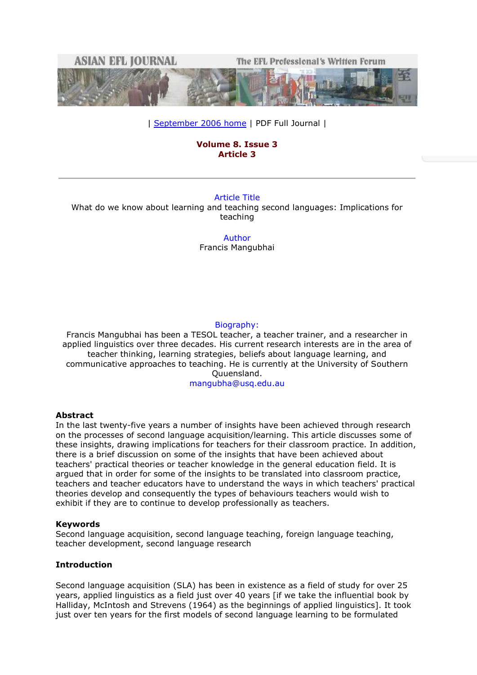

| [September 2006 home](http://www.asian-efl-journal.com/September_06_home.php) | PDF Full Journal |

# **Volume 8. Issue 3 Article 3**

# Article Title

What do we know about learning and teaching second languages: Implications for teaching

> Author Francis Mangubhai

# Biography:

Francis Mangubhai has been a TESOL teacher, a teacher trainer, and a researcher in applied linguistics over three decades. His current research interests are in the area of teacher thinking, learning strategies, beliefs about language learning, and communicative approaches to teaching. He is currently at the University of Southern Quuensland. mangubha@usq.edu.au

# **Abstract**

In the last twenty-five years a number of insights have been achieved through research on the processes of second language acquisition/learning. This article discusses some of these insights, drawing implications for teachers for their classroom practice. In addition, there is a brief discussion on some of the insights that have been achieved about teachers' practical theories or teacher knowledge in the general education field. It is argued that in order for some of the insights to be translated into classroom practice, teachers and teacher educators have to understand the ways in which teachers' practical theories develop and consequently the types of behaviours teachers would wish to exhibit if they are to continue to develop professionally as teachers.

#### **Keywords**

Second language acquisition, second language teaching, foreign language teaching, teacher development, second language research

# **Introduction**

Second language acquisition (SLA) has been in existence as a field of study for over 25 years, applied linguistics as a field just over 40 years [if we take the influential book by Halliday, McIntosh and Strevens (1964) as the beginnings of applied linguistics]. It took just over ten years for the first models of second language learning to be formulated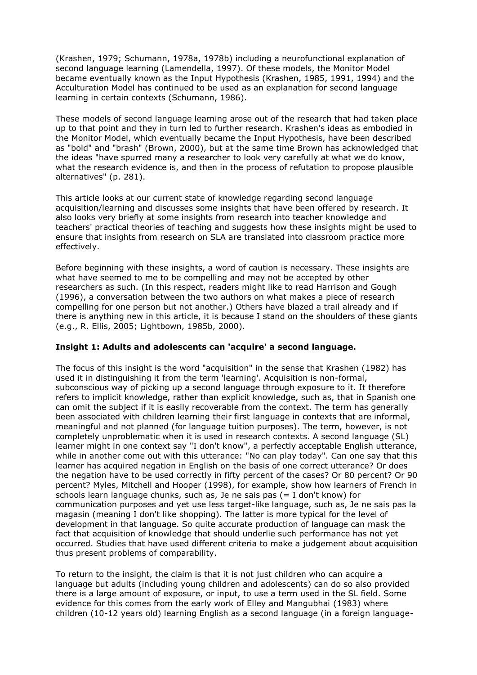(Krashen, 1979; Schumann, 1978a, 1978b) including a neurofunctional explanation of second language learning (Lamendella, 1997). Of these models, the Monitor Model became eventually known as the Input Hypothesis (Krashen, 1985, 1991, 1994) and the Acculturation Model has continued to be used as an explanation for second language learning in certain contexts (Schumann, 1986).

These models of second language learning arose out of the research that had taken place up to that point and they in turn led to further research. Krashen's ideas as embodied in the Monitor Model, which eventually became the Input Hypothesis, have been described as "bold" and "brash" (Brown, 2000), but at the same time Brown has acknowledged that the ideas "have spurred many a researcher to look very carefully at what we do know, what the research evidence is, and then in the process of refutation to propose plausible alternatives" (p. 281).

This article looks at our current state of knowledge regarding second language acquisition/learning and discusses some insights that have been offered by research. It also looks very briefly at some insights from research into teacher knowledge and teachers' practical theories of teaching and suggests how these insights might be used to ensure that insights from research on SLA are translated into classroom practice more effectively.

Before beginning with these insights, a word of caution is necessary. These insights are what have seemed to me to be compelling and may not be accepted by other researchers as such. (In this respect, readers might like to read Harrison and Gough (1996), a conversation between the two authors on what makes a piece of research compelling for one person but not another.) Others have blazed a trail already and if there is anything new in this article, it is because I stand on the shoulders of these giants (e.g., R. Ellis, 2005; Lightbown, 1985b, 2000).

# **Insight 1: Adults and adolescents can 'acquire' a second language.**

The focus of this insight is the word "acquisition" in the sense that Krashen (1982) has used it in distinguishing it from the term 'learning'. Acquisition is non-formal, subconscious way of picking up a second language through exposure to it. It therefore refers to implicit knowledge, rather than explicit knowledge, such as, that in Spanish one can omit the subject if it is easily recoverable from the context. The term has generally been associated with children learning their first language in contexts that are informal, meaningful and not planned (for language tuition purposes). The term, however, is not completely unproblematic when it is used in research contexts. A second language (SL) learner might in one context say "I don't know", a perfectly acceptable English utterance, while in another come out with this utterance: "No can play today". Can one say that this learner has acquired negation in English on the basis of one correct utterance? Or does the negation have to be used correctly in fifty percent of the cases? Or 80 percent? Or 90 percent? Myles, Mitchell and Hooper (1998), for example, show how learners of French in schools learn language chunks, such as, Je ne sais pas (= I don't know) for communication purposes and yet use less target-like language, such as, Je ne sais pas la magasin (meaning I don't like shopping). The latter is more typical for the level of development in that language. So quite accurate production of language can mask the fact that acquisition of knowledge that should underlie such performance has not yet occurred. Studies that have used different criteria to make a judgement about acquisition thus present problems of comparability.

To return to the insight, the claim is that it is not just children who can acquire a language but adults (including young children and adolescents) can do so also provided there is a large amount of exposure, or input, to use a term used in the SL field. Some evidence for this comes from the early work of Elley and Mangubhai (1983) where children (10-12 years old) learning English as a second language (in a foreign language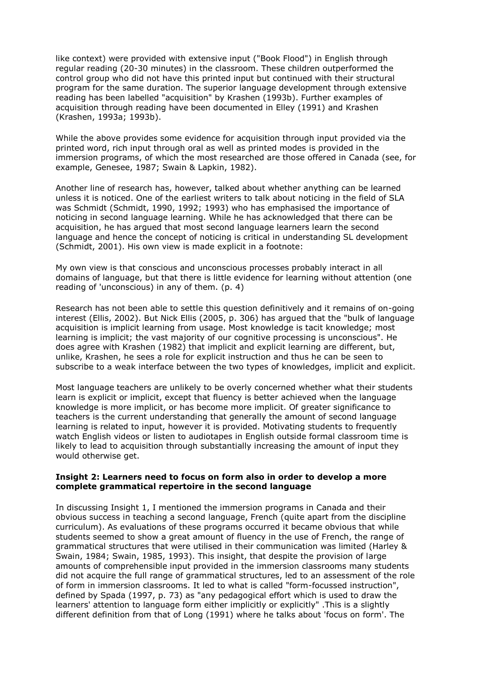like context) were provided with extensive input ("Book Flood") in English through regular reading (20-30 minutes) in the classroom. These children outperformed the control group who did not have this printed input but continued with their structural program for the same duration. The superior language development through extensive reading has been labelled "acquisition" by Krashen (1993b). Further examples of acquisition through reading have been documented in Elley (1991) and Krashen (Krashen, 1993a; 1993b).

While the above provides some evidence for acquisition through input provided via the printed word, rich input through oral as well as printed modes is provided in the immersion programs, of which the most researched are those offered in Canada (see, for example, Genesee, 1987; Swain & Lapkin, 1982).

Another line of research has, however, talked about whether anything can be learned unless it is noticed. One of the earliest writers to talk about noticing in the field of SLA was Schmidt (Schmidt, 1990, 1992; 1993) who has emphasised the importance of noticing in second language learning. While he has acknowledged that there can be acquisition, he has argued that most second language learners learn the second language and hence the concept of noticing is critical in understanding SL development (Schmidt, 2001). His own view is made explicit in a footnote:

My own view is that conscious and unconscious processes probably interact in all domains of language, but that there is little evidence for learning without attention (one reading of 'unconscious) in any of them. (p. 4)

Research has not been able to settle this question definitively and it remains of on-going interest (Ellis, 2002). But Nick Ellis (2005, p. 306) has argued that the "bulk of language acquisition is implicit learning from usage. Most knowledge is tacit knowledge; most learning is implicit; the vast majority of our cognitive processing is unconscious". He does agree with Krashen (1982) that implicit and explicit learning are different, but, unlike, Krashen, he sees a role for explicit instruction and thus he can be seen to subscribe to a weak interface between the two types of knowledges, implicit and explicit.

Most language teachers are unlikely to be overly concerned whether what their students learn is explicit or implicit, except that fluency is better achieved when the language knowledge is more implicit, or has become more implicit. Of greater significance to teachers is the current understanding that generally the amount of second language learning is related to input, however it is provided. Motivating students to frequently watch English videos or listen to audiotapes in English outside formal classroom time is likely to lead to acquisition through substantially increasing the amount of input they would otherwise get.

# **Insight 2: Learners need to focus on form also in order to develop a more complete grammatical repertoire in the second language**

In discussing Insight 1, I mentioned the immersion programs in Canada and their obvious success in teaching a second language, French (quite apart from the discipline curriculum). As evaluations of these programs occurred it became obvious that while students seemed to show a great amount of fluency in the use of French, the range of grammatical structures that were utilised in their communication was limited (Harley & Swain, 1984; Swain, 1985, 1993). This insight, that despite the provision of large amounts of comprehensible input provided in the immersion classrooms many students did not acquire the full range of grammatical structures, led to an assessment of the role of form in immersion classrooms. It led to what is called "form-focussed instruction", defined by Spada (1997, p. 73) as "any pedagogical effort which is used to draw the learners' attention to language form either implicitly or explicitly" .This is a slightly different definition from that of Long (1991) where he talks about 'focus on form'. The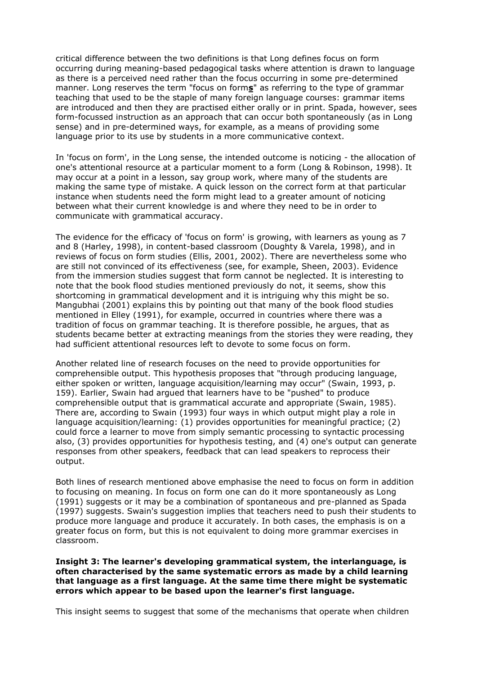critical difference between the two definitions is that Long defines focus on form occurring during meaning-based pedagogical tasks where attention is drawn to language as there is a perceived need rather than the focus occurring in some pre-determined manner. Long reserves the term "focus on form**s**" as referring to the type of grammar teaching that used to be the staple of many foreign language courses: grammar items are introduced and then they are practised either orally or in print. Spada, however, sees form-focussed instruction as an approach that can occur both spontaneously (as in Long sense) and in pre-determined ways, for example, as a means of providing some language prior to its use by students in a more communicative context.

In 'focus on form', in the Long sense, the intended outcome is noticing - the allocation of one's attentional resource at a particular moment to a form (Long & Robinson, 1998). It may occur at a point in a lesson, say group work, where many of the students are making the same type of mistake. A quick lesson on the correct form at that particular instance when students need the form might lead to a greater amount of noticing between what their current knowledge is and where they need to be in order to communicate with grammatical accuracy.

The evidence for the efficacy of 'focus on form' is growing, with learners as young as 7 and 8 (Harley, 1998), in content-based classroom (Doughty & Varela, 1998), and in reviews of focus on form studies (Ellis, 2001, 2002). There are nevertheless some who are still not convinced of its effectiveness (see, for example, Sheen, 2003). Evidence from the immersion studies suggest that form cannot be neglected. It is interesting to note that the book flood studies mentioned previously do not, it seems, show this shortcoming in grammatical development and it is intriguing why this might be so. Mangubhai (2001) explains this by pointing out that many of the book flood studies mentioned in Elley (1991), for example, occurred in countries where there was a tradition of focus on grammar teaching. It is therefore possible, he argues, that as students became better at extracting meanings from the stories they were reading, they had sufficient attentional resources left to devote to some focus on form.

Another related line of research focuses on the need to provide opportunities for comprehensible output. This hypothesis proposes that "through producing language, either spoken or written, language acquisition/learning may occur" (Swain, 1993, p. 159). Earlier, Swain had argued that learners have to be "pushed" to produce comprehensible output that is grammatical accurate and appropriate (Swain, 1985). There are, according to Swain (1993) four ways in which output might play a role in language acquisition/learning: (1) provides opportunities for meaningful practice; (2) could force a learner to move from simply semantic processing to syntactic processing also, (3) provides opportunities for hypothesis testing, and (4) one's output can generate responses from other speakers, feedback that can lead speakers to reprocess their output.

Both lines of research mentioned above emphasise the need to focus on form in addition to focusing on meaning. In focus on form one can do it more spontaneously as Long (1991) suggests or it may be a combination of spontaneous and pre-planned as Spada (1997) suggests. Swain's suggestion implies that teachers need to push their students to produce more language and produce it accurately. In both cases, the emphasis is on a greater focus on form, but this is not equivalent to doing more grammar exercises in classroom.

# **Insight 3: The learner's developing grammatical system, the interlanguage, is often characterised by the same systematic errors as made by a child learning that language as a first language. At the same time there might be systematic errors which appear to be based upon the learner's first language.**

This insight seems to suggest that some of the mechanisms that operate when children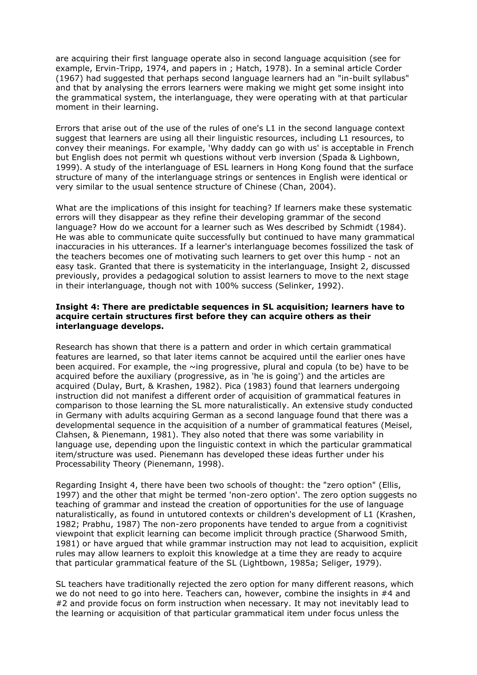are acquiring their first language operate also in second language acquisition (see for example, Ervin-Tripp, 1974, and papers in ; Hatch, 1978). In a seminal article Corder (1967) had suggested that perhaps second language learners had an "in-built syllabus" and that by analysing the errors learners were making we might get some insight into the grammatical system, the interlanguage, they were operating with at that particular moment in their learning.

Errors that arise out of the use of the rules of one's L1 in the second language context suggest that learners are using all their linguistic resources, including L1 resources, to convey their meanings. For example, 'Why daddy can go with us' is acceptable in French but English does not permit wh questions without verb inversion (Spada & Lighbown, 1999). A study of the interlanguage of ESL learners in Hong Kong found that the surface structure of many of the interlanguage strings or sentences in English were identical or very similar to the usual sentence structure of Chinese (Chan, 2004).

What are the implications of this insight for teaching? If learners make these systematic errors will they disappear as they refine their developing grammar of the second language? How do we account for a learner such as Wes described by Schmidt (1984). He was able to communicate quite successfully but continued to have many grammatical inaccuracies in his utterances. If a learner's interlanguage becomes fossilized the task of the teachers becomes one of motivating such learners to get over this hump - not an easy task. Granted that there is systematicity in the interlanguage, Insight 2, discussed previously, provides a pedagogical solution to assist learners to move to the next stage in their interlanguage, though not with 100% success (Selinker, 1992).

### **Insight 4: There are predictable sequences in SL acquisition; learners have to acquire certain structures first before they can acquire others as their interlanguage develops.**

Research has shown that there is a pattern and order in which certain grammatical features are learned, so that later items cannot be acquired until the earlier ones have been acquired. For example, the  $\sim$ ing progressive, plural and copula (to be) have to be acquired before the auxiliary (progressive, as in 'he is going') and the articles are acquired (Dulay, Burt, & Krashen, 1982). Pica (1983) found that learners undergoing instruction did not manifest a different order of acquisition of grammatical features in comparison to those learning the SL more naturalistically. An extensive study conducted in Germany with adults acquiring German as a second language found that there was a developmental sequence in the acquisition of a number of grammatical features (Meisel, Clahsen, & Pienemann, 1981). They also noted that there was some variability in language use, depending upon the linguistic context in which the particular grammatical item/structure was used. Pienemann has developed these ideas further under his Processability Theory (Pienemann, 1998).

Regarding Insight 4, there have been two schools of thought: the "zero option" (Ellis, 1997) and the other that might be termed 'non-zero option'. The zero option suggests no teaching of grammar and instead the creation of opportunities for the use of language naturalistically, as found in untutored contexts or children's development of L1 (Krashen, 1982; Prabhu, 1987) The non-zero proponents have tended to argue from a cognitivist viewpoint that explicit learning can become implicit through practice (Sharwood Smith, 1981) or have argued that while grammar instruction may not lead to acquisition, explicit rules may allow learners to exploit this knowledge at a time they are ready to acquire that particular grammatical feature of the SL (Lightbown, 1985a; Seliger, 1979).

SL teachers have traditionally rejected the zero option for many different reasons, which we do not need to go into here. Teachers can, however, combine the insights in #4 and #2 and provide focus on form instruction when necessary. It may not inevitably lead to the learning or acquisition of that particular grammatical item under focus unless the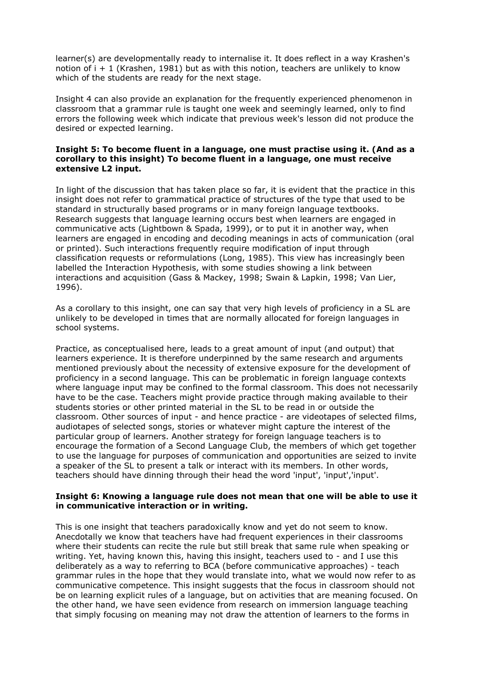learner(s) are developmentally ready to internalise it. It does reflect in a way Krashen's notion of  $i + 1$  (Krashen, 1981) but as with this notion, teachers are unlikely to know which of the students are ready for the next stage.

Insight 4 can also provide an explanation for the frequently experienced phenomenon in classroom that a grammar rule is taught one week and seemingly learned, only to find errors the following week which indicate that previous week's lesson did not produce the desired or expected learning.

# **Insight 5: To become fluent in a language, one must practise using it. (And as a corollary to this insight) To become fluent in a language, one must receive extensive L2 input.**

In light of the discussion that has taken place so far, it is evident that the practice in this insight does not refer to grammatical practice of structures of the type that used to be standard in structurally based programs or in many foreign language textbooks. Research suggests that language learning occurs best when learners are engaged in communicative acts (Lightbown & Spada, 1999), or to put it in another way, when learners are engaged in encoding and decoding meanings in acts of communication (oral or printed). Such interactions frequently require modification of input through classification requests or reformulations (Long, 1985). This view has increasingly been labelled the Interaction Hypothesis, with some studies showing a link between interactions and acquisition (Gass & Mackey, 1998; Swain & Lapkin, 1998; Van Lier, 1996).

As a corollary to this insight, one can say that very high levels of proficiency in a SL are unlikely to be developed in times that are normally allocated for foreign languages in school systems.

Practice, as conceptualised here, leads to a great amount of input (and output) that learners experience. It is therefore underpinned by the same research and arguments mentioned previously about the necessity of extensive exposure for the development of proficiency in a second language. This can be problematic in foreign language contexts where language input may be confined to the formal classroom. This does not necessarily have to be the case. Teachers might provide practice through making available to their students stories or other printed material in the SL to be read in or outside the classroom. Other sources of input - and hence practice - are videotapes of selected films, audiotapes of selected songs, stories or whatever might capture the interest of the particular group of learners. Another strategy for foreign language teachers is to encourage the formation of a Second Language Club, the members of which get together to use the language for purposes of communication and opportunities are seized to invite a speaker of the SL to present a talk or interact with its members. In other words, teachers should have dinning through their head the word 'input', 'input','input'.

# **Insight 6: Knowing a language rule does not mean that one will be able to use it in communicative interaction or in writing.**

This is one insight that teachers paradoxically know and yet do not seem to know. Anecdotally we know that teachers have had frequent experiences in their classrooms where their students can recite the rule but still break that same rule when speaking or writing. Yet, having known this, having this insight, teachers used to - and I use this deliberately as a way to referring to BCA (before communicative approaches) - teach grammar rules in the hope that they would translate into, what we would now refer to as communicative competence. This insight suggests that the focus in classroom should not be on learning explicit rules of a language, but on activities that are meaning focused. On the other hand, we have seen evidence from research on immersion language teaching that simply focusing on meaning may not draw the attention of learners to the forms in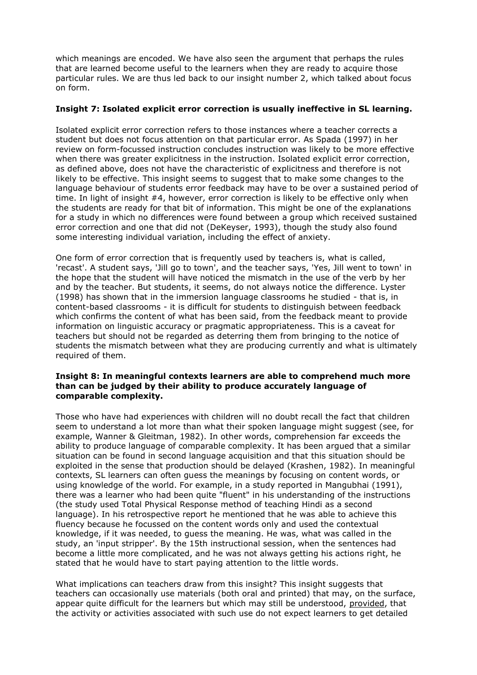which meanings are encoded. We have also seen the argument that perhaps the rules that are learned become useful to the learners when they are ready to acquire those particular rules. We are thus led back to our insight number 2, which talked about focus on form.

# **Insight 7: Isolated explicit error correction is usually ineffective in SL learning.**

Isolated explicit error correction refers to those instances where a teacher corrects a student but does not focus attention on that particular error. As Spada (1997) in her review on form-focussed instruction concludes instruction was likely to be more effective when there was greater explicitness in the instruction. Isolated explicit error correction, as defined above, does not have the characteristic of explicitness and therefore is not likely to be effective. This insight seems to suggest that to make some changes to the language behaviour of students error feedback may have to be over a sustained period of time. In light of insight #4, however, error correction is likely to be effective only when the students are ready for that bit of information. This might be one of the explanations for a study in which no differences were found between a group which received sustained error correction and one that did not (DeKeyser, 1993), though the study also found some interesting individual variation, including the effect of anxiety.

One form of error correction that is frequently used by teachers is, what is called, 'recast'. A student says, 'Jill go to town', and the teacher says, 'Yes, Jill went to town' in the hope that the student will have noticed the mismatch in the use of the verb by her and by the teacher. But students, it seems, do not always notice the difference. Lyster (1998) has shown that in the immersion language classrooms he studied - that is, in content-based classrooms - it is difficult for students to distinguish between feedback which confirms the content of what has been said, from the feedback meant to provide information on linguistic accuracy or pragmatic appropriateness. This is a caveat for teachers but should not be regarded as deterring them from bringing to the notice of students the mismatch between what they are producing currently and what is ultimately required of them.

# **Insight 8: In meaningful contexts learners are able to comprehend much more than can be judged by their ability to produce accurately language of comparable complexity.**

Those who have had experiences with children will no doubt recall the fact that children seem to understand a lot more than what their spoken language might suggest (see, for example, Wanner & Gleitman, 1982). In other words, comprehension far exceeds the ability to produce language of comparable complexity. It has been argued that a similar situation can be found in second language acquisition and that this situation should be exploited in the sense that production should be delayed (Krashen, 1982). In meaningful contexts, SL learners can often guess the meanings by focusing on content words, or using knowledge of the world. For example, in a study reported in Mangubhai (1991), there was a learner who had been quite "fluent" in his understanding of the instructions (the study used Total Physical Response method of teaching Hindi as a second language). In his retrospective report he mentioned that he was able to achieve this fluency because he focussed on the content words only and used the contextual knowledge, if it was needed, to guess the meaning. He was, what was called in the study, an 'input stripper'. By the 15th instructional session, when the sentences had become a little more complicated, and he was not always getting his actions right, he stated that he would have to start paying attention to the little words.

What implications can teachers draw from this insight? This insight suggests that teachers can occasionally use materials (both oral and printed) that may, on the surface, appear quite difficult for the learners but which may still be understood, provided, that the activity or activities associated with such use do not expect learners to get detailed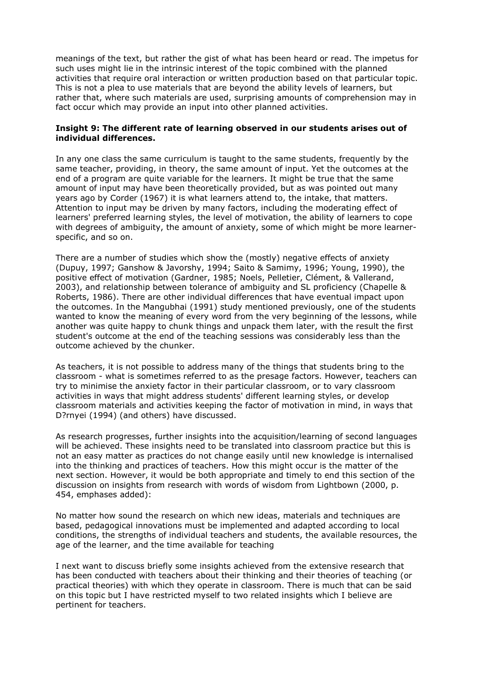meanings of the text, but rather the gist of what has been heard or read. The impetus for such uses might lie in the intrinsic interest of the topic combined with the planned activities that require oral interaction or written production based on that particular topic. This is not a plea to use materials that are beyond the ability levels of learners, but rather that, where such materials are used, surprising amounts of comprehension may in fact occur which may provide an input into other planned activities.

### **Insight 9: The different rate of learning observed in our students arises out of individual differences.**

In any one class the same curriculum is taught to the same students, frequently by the same teacher, providing, in theory, the same amount of input. Yet the outcomes at the end of a program are quite variable for the learners. It might be true that the same amount of input may have been theoretically provided, but as was pointed out many years ago by Corder (1967) it is what learners attend to, the intake, that matters. Attention to input may be driven by many factors, including the moderating effect of learners' preferred learning styles, the level of motivation, the ability of learners to cope with degrees of ambiguity, the amount of anxiety, some of which might be more learnerspecific, and so on.

There are a number of studies which show the (mostly) negative effects of anxiety (Dupuy, 1997; Ganshow & Javorshy, 1994; Saito & Samimy, 1996; Young, 1990), the positive effect of motivation (Gardner, 1985; Noels, Pelletier, Clément, & Vallerand, 2003), and relationship between tolerance of ambiguity and SL proficiency (Chapelle & Roberts, 1986). There are other individual differences that have eventual impact upon the outcomes. In the Mangubhai (1991) study mentioned previously, one of the students wanted to know the meaning of every word from the very beginning of the lessons, while another was quite happy to chunk things and unpack them later, with the result the first student's outcome at the end of the teaching sessions was considerably less than the outcome achieved by the chunker.

As teachers, it is not possible to address many of the things that students bring to the classroom - what is sometimes referred to as the presage factors. However, teachers can try to minimise the anxiety factor in their particular classroom, or to vary classroom activities in ways that might address students' different learning styles, or develop classroom materials and activities keeping the factor of motivation in mind, in ways that D?rnyei (1994) (and others) have discussed.

As research progresses, further insights into the acquisition/learning of second languages will be achieved. These insights need to be translated into classroom practice but this is not an easy matter as practices do not change easily until new knowledge is internalised into the thinking and practices of teachers. How this might occur is the matter of the next section. However, it would be both appropriate and timely to end this section of the discussion on insights from research with words of wisdom from Lightbown (2000, p. 454, emphases added):

No matter how sound the research on which new ideas, materials and techniques are based, pedagogical innovations must be implemented and adapted according to local conditions, the strengths of individual teachers and students, the available resources, the age of the learner, and the time available for teaching

I next want to discuss briefly some insights achieved from the extensive research that has been conducted with teachers about their thinking and their theories of teaching (or practical theories) with which they operate in classroom. There is much that can be said on this topic but I have restricted myself to two related insights which I believe are pertinent for teachers.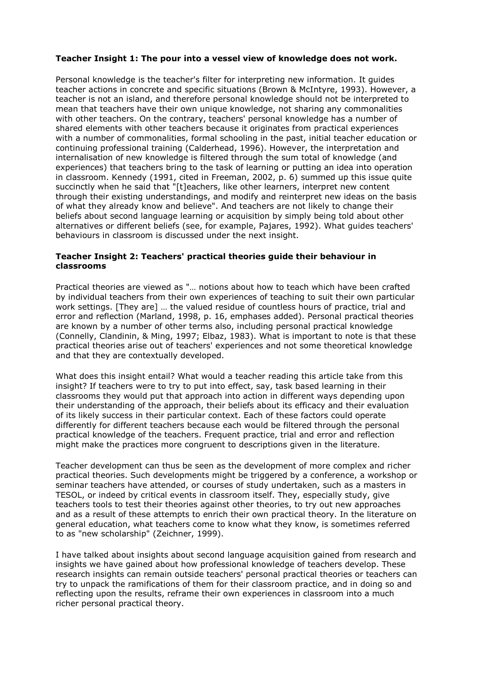# **Teacher Insight 1: The pour into a vessel view of knowledge does not work.**

Personal knowledge is the teacher's filter for interpreting new information. It guides teacher actions in concrete and specific situations (Brown & McIntyre, 1993). However, a teacher is not an island, and therefore personal knowledge should not be interpreted to mean that teachers have their own unique knowledge, not sharing any commonalities with other teachers. On the contrary, teachers' personal knowledge has a number of shared elements with other teachers because it originates from practical experiences with a number of commonalities, formal schooling in the past, initial teacher education or continuing professional training (Calderhead, 1996). However, the interpretation and internalisation of new knowledge is filtered through the sum total of knowledge (and experiences) that teachers bring to the task of learning or putting an idea into operation in classroom. Kennedy (1991, cited in Freeman, 2002, p. 6) summed up this issue quite succinctly when he said that "[t]eachers, like other learners, interpret new content through their existing understandings, and modify and reinterpret new ideas on the basis of what they already know and believe". And teachers are not likely to change their beliefs about second language learning or acquisition by simply being told about other alternatives or different beliefs (see, for example, Pajares, 1992). What guides teachers' behaviours in classroom is discussed under the next insight.

# **Teacher Insight 2: Teachers' practical theories guide their behaviour in classrooms**

Practical theories are viewed as "… notions about how to teach which have been crafted by individual teachers from their own experiences of teaching to suit their own particular work settings. [They are] … the valued residue of countless hours of practice, trial and error and reflection (Marland, 1998, p. 16, emphases added). Personal practical theories are known by a number of other terms also, including personal practical knowledge (Connelly, Clandinin, & Ming, 1997; Elbaz, 1983). What is important to note is that these practical theories arise out of teachers' experiences and not some theoretical knowledge and that they are contextually developed.

What does this insight entail? What would a teacher reading this article take from this insight? If teachers were to try to put into effect, say, task based learning in their classrooms they would put that approach into action in different ways depending upon their understanding of the approach, their beliefs about its efficacy and their evaluation of its likely success in their particular context. Each of these factors could operate differently for different teachers because each would be filtered through the personal practical knowledge of the teachers. Frequent practice, trial and error and reflection might make the practices more congruent to descriptions given in the literature.

Teacher development can thus be seen as the development of more complex and richer practical theories. Such developments might be triggered by a conference, a workshop or seminar teachers have attended, or courses of study undertaken, such as a masters in TESOL, or indeed by critical events in classroom itself. They, especially study, give teachers tools to test their theories against other theories, to try out new approaches and as a result of these attempts to enrich their own practical theory. In the literature on general education, what teachers come to know what they know, is sometimes referred to as "new scholarship" (Zeichner, 1999).

I have talked about insights about second language acquisition gained from research and insights we have gained about how professional knowledge of teachers develop. These research insights can remain outside teachers' personal practical theories or teachers can try to unpack the ramifications of them for their classroom practice, and in doing so and reflecting upon the results, reframe their own experiences in classroom into a much richer personal practical theory.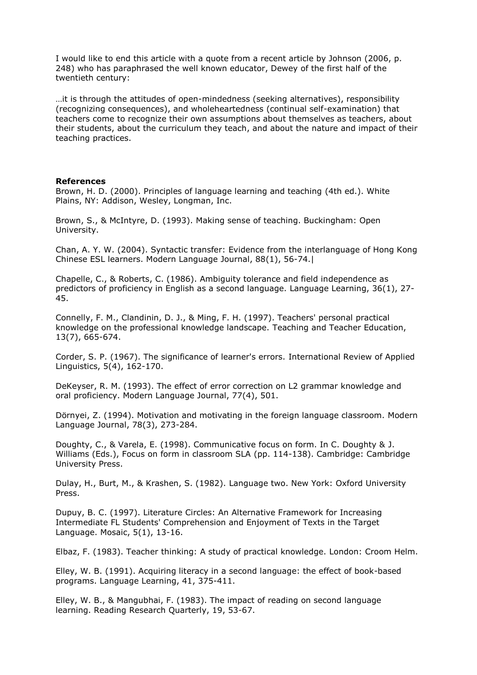I would like to end this article with a quote from a recent article by Johnson (2006, p. 248) who has paraphrased the well known educator, Dewey of the first half of the twentieth century:

…it is through the attitudes of open-mindedness (seeking alternatives), responsibility (recognizing consequences), and wholeheartedness (continual self-examination) that teachers come to recognize their own assumptions about themselves as teachers, about their students, about the curriculum they teach, and about the nature and impact of their teaching practices.

#### **References**

Brown, H. D. (2000). Principles of language learning and teaching (4th ed.). White Plains, NY: Addison, Wesley, Longman, Inc.

Brown, S., & McIntyre, D. (1993). Making sense of teaching. Buckingham: Open University.

Chan, A. Y. W. (2004). Syntactic transfer: Evidence from the interlanguage of Hong Kong Chinese ESL learners. Modern Language Journal, 88(1), 56-74.|

Chapelle, C., & Roberts, C. (1986). Ambiguity tolerance and field independence as predictors of proficiency in English as a second language. Language Learning, 36(1), 27- 45.

Connelly, F. M., Clandinin, D. J., & Ming, F. H. (1997). Teachers' personal practical knowledge on the professional knowledge landscape. Teaching and Teacher Education, 13(7), 665-674.

Corder, S. P. (1967). The significance of learner's errors. International Review of Applied Linguistics, 5(4), 162-170.

DeKeyser, R. M. (1993). The effect of error correction on L2 grammar knowledge and oral proficiency. Modern Language Journal, 77(4), 501.

Dörnyei, Z. (1994). Motivation and motivating in the foreign language classroom. Modern Language Journal, 78(3), 273-284.

Doughty, C., & Varela, E. (1998). Communicative focus on form. In C. Doughty & J. Williams (Eds.), Focus on form in classroom SLA (pp. 114-138). Cambridge: Cambridge University Press.

Dulay, H., Burt, M., & Krashen, S. (1982). Language two. New York: Oxford University Press.

Dupuy, B. C. (1997). Literature Circles: An Alternative Framework for Increasing Intermediate FL Students' Comprehension and Enjoyment of Texts in the Target Language. Mosaic, 5(1), 13-16.

Elbaz, F. (1983). Teacher thinking: A study of practical knowledge. London: Croom Helm.

Elley, W. B. (1991). Acquiring literacy in a second language: the effect of book-based programs. Language Learning, 41, 375-411.

Elley, W. B., & Mangubhai, F. (1983). The impact of reading on second language learning. Reading Research Quarterly, 19, 53-67.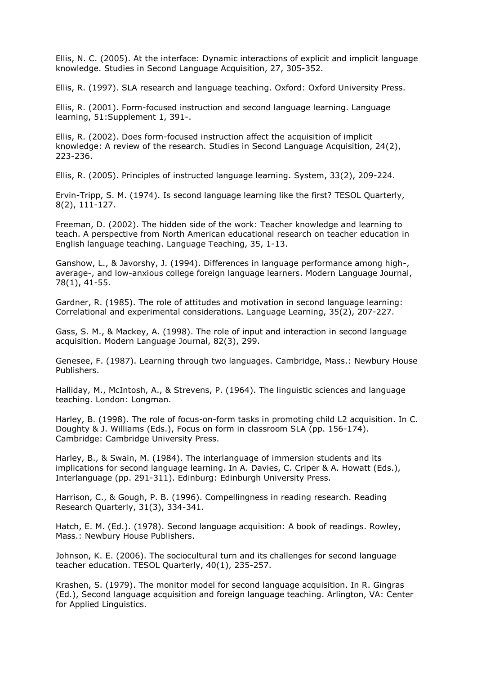Ellis, N. C. (2005). At the interface: Dynamic interactions of explicit and implicit language knowledge. Studies in Second Language Acquisition, 27, 305-352.

Ellis, R. (1997). SLA research and language teaching. Oxford: Oxford University Press.

Ellis, R. (2001). Form-focused instruction and second language learning. Language learning, 51:Supplement 1, 391-.

Ellis, R. (2002). Does form-focused instruction affect the acquisition of implicit knowledge: A review of the research. Studies in Second Language Acquisition, 24(2), 223-236.

Ellis, R. (2005). Principles of instructed language learning. System, 33(2), 209-224.

Ervin-Tripp, S. M. (1974). Is second language learning like the first? TESOL Quarterly, 8(2), 111-127.

Freeman, D. (2002). The hidden side of the work: Teacher knowledge and learning to teach. A perspective from North American educational research on teacher education in English language teaching. Language Teaching, 35, 1-13.

Ganshow, L., & Javorshy, J. (1994). Differences in language performance among high-, average-, and low-anxious college foreign language learners. Modern Language Journal, 78(1), 41-55.

Gardner, R. (1985). The role of attitudes and motivation in second language learning: Correlational and experimental considerations. Language Learning, 35(2), 207-227.

Gass, S. M., & Mackey, A. (1998). The role of input and interaction in second language acquisition. Modern Language Journal, 82(3), 299.

Genesee, F. (1987). Learning through two languages. Cambridge, Mass.: Newbury House Publishers.

Halliday, M., McIntosh, A., & Strevens, P. (1964). The linguistic sciences and language teaching. London: Longman.

Harley, B. (1998). The role of focus-on-form tasks in promoting child L2 acquisition. In C. Doughty & J. Williams (Eds.), Focus on form in classroom SLA (pp. 156-174). Cambridge: Cambridge University Press.

Harley, B., & Swain, M. (1984). The interlanguage of immersion students and its implications for second language learning. In A. Davies, C. Criper & A. Howatt (Eds.), Interlanguage (pp. 291-311). Edinburg: Edinburgh University Press.

Harrison, C., & Gough, P. B. (1996). Compellingness in reading research. Reading Research Quarterly, 31(3), 334-341.

Hatch, E. M. (Ed.). (1978). Second language acquisition: A book of readings. Rowley, Mass.: Newbury House Publishers.

Johnson, K. E. (2006). The sociocultural turn and its challenges for second language teacher education. TESOL Quarterly, 40(1), 235-257.

Krashen, S. (1979). The monitor model for second language acquisition. In R. Gingras (Ed.), Second language acquisition and foreign language teaching. Arlington, VA: Center for Applied Linguistics.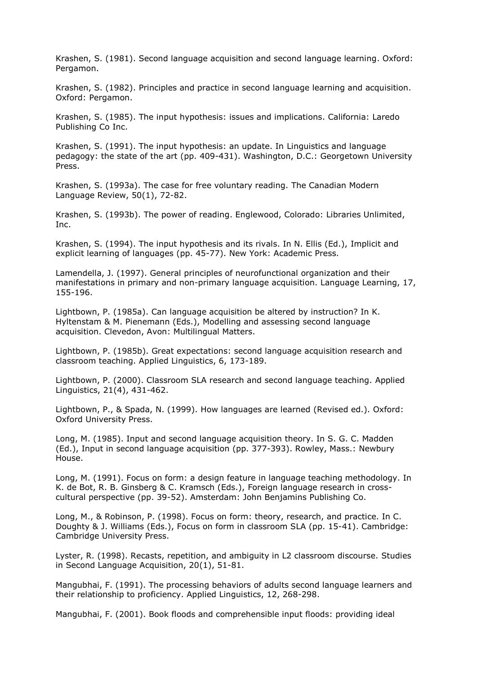Krashen, S. (1981). Second language acquisition and second language learning. Oxford: Pergamon.

Krashen, S. (1982). Principles and practice in second language learning and acquisition. Oxford: Pergamon.

Krashen, S. (1985). The input hypothesis: issues and implications. California: Laredo Publishing Co Inc.

Krashen, S. (1991). The input hypothesis: an update. In Linguistics and language pedagogy: the state of the art (pp. 409-431). Washington, D.C.: Georgetown University Press.

Krashen, S. (1993a). The case for free voluntary reading. The Canadian Modern Language Review, 50(1), 72-82.

Krashen, S. (1993b). The power of reading. Englewood, Colorado: Libraries Unlimited, Inc.

Krashen, S. (1994). The input hypothesis and its rivals. In N. Ellis (Ed.), Implicit and explicit learning of languages (pp. 45-77). New York: Academic Press.

Lamendella, J. (1997). General principles of neurofunctional organization and their manifestations in primary and non-primary language acquisition. Language Learning, 17, 155-196.

Lightbown, P. (1985a). Can language acquisition be altered by instruction? In K. Hyltenstam & M. Pienemann (Eds.), Modelling and assessing second language acquisition. Clevedon, Avon: Multilingual Matters.

Lightbown, P. (1985b). Great expectations: second language acquisition research and classroom teaching. Applied Linguistics, 6, 173-189.

Lightbown, P. (2000). Classroom SLA research and second language teaching. Applied Linguistics, 21(4), 431-462.

Lightbown, P., & Spada, N. (1999). How languages are learned (Revised ed.). Oxford: Oxford University Press.

Long, M. (1985). Input and second language acquisition theory. In S. G. C. Madden (Ed.), Input in second language acquisition (pp. 377-393). Rowley, Mass.: Newbury House.

Long, M. (1991). Focus on form: a design feature in language teaching methodology. In K. de Bot, R. B. Ginsberg & C. Kramsch (Eds.), Foreign language research in crosscultural perspective (pp. 39-52). Amsterdam: John Benjamins Publishing Co.

Long, M., & Robinson, P. (1998). Focus on form: theory, research, and practice. In C. Doughty & J. Williams (Eds.), Focus on form in classroom SLA (pp. 15-41). Cambridge: Cambridge University Press.

Lyster, R. (1998). Recasts, repetition, and ambiguity in L2 classroom discourse. Studies in Second Language Acquisition, 20(1), 51-81.

Mangubhai, F. (1991). The processing behaviors of adults second language learners and their relationship to proficiency. Applied Linguistics, 12, 268-298.

Mangubhai, F. (2001). Book floods and comprehensible input floods: providing ideal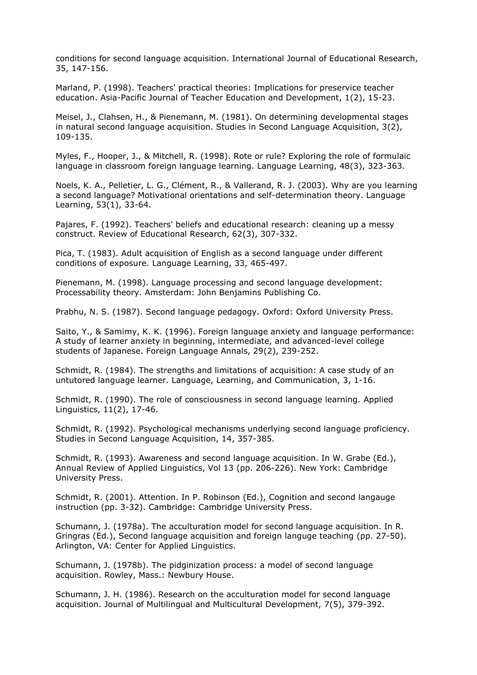conditions for second language acquisition. International Journal of Educational Research, 35, 147-156.

Marland, P. (1998). Teachers' practical theories: Implications for preservice teacher education. Asia-Pacific Journal of Teacher Education and Development, 1(2), 15-23.

Meisel, J., Clahsen, H., & Pienemann, M. (1981). On determining developmental stages in natural second language acquisition. Studies in Second Language Acquisition, 3(2), 109-135.

Myles, F., Hooper, J., & Mitchell, R. (1998). Rote or rule? Exploring the role of formulaic language in classroom foreign language learning. Language Learning, 48(3), 323-363.

Noels, K. A., Pelletier, L. G., Clément, R., & Vallerand, R. J. (2003). Why are you learning a second language? Motivational orientations and self-determination theory. Language Learning, 53(1), 33-64.

Pajares, F. (1992). Teachers' beliefs and educational research: cleaning up a messy construct. Review of Educational Research, 62(3), 307-332.

Pica, T. (1983). Adult acquisition of English as a second language under different conditions of exposure. Language Learning, 33, 465-497.

Pienemann, M. (1998). Language processing and second language development: Processability theory. Amsterdam: John Benjamins Publishing Co.

Prabhu, N. S. (1987). Second language pedagogy. Oxford: Oxford University Press.

Saito, Y., & Samimy, K. K. (1996). Foreign language anxiety and language performance: A study of learner anxiety in beginning, intermediate, and advanced-level college students of Japanese. Foreign Language Annals, 29(2), 239-252.

Schmidt, R. (1984). The strengths and limitations of acquisition: A case study of an untutored language learner. Language, Learning, and Communication, 3, 1-16.

Schmidt, R. (1990). The role of consciousness in second language learning. Applied Linguistics, 11(2), 17-46.

Schmidt, R. (1992). Psychological mechanisms underlying second language proficiency. Studies in Second Language Acquisition, 14, 357-385.

Schmidt, R. (1993). Awareness and second language acquisition. In W. Grabe (Ed.), Annual Review of Applied Linguistics, Vol 13 (pp. 206-226). New York: Cambridge University Press.

Schmidt, R. (2001). Attention. In P. Robinson (Ed.), Cognition and second langauge instruction (pp. 3-32). Cambridge: Cambridge University Press.

Schumann, J. (1978a). The acculturation model for second language acquisition. In R. Gringras (Ed.), Second language acquisition and foreign languge teaching (pp. 27-50). Arlington, VA: Center for Applied Linguistics.

Schumann, J. (1978b). The pidginization process: a model of second language acquisition. Rowley, Mass.: Newbury House.

Schumann, J. H. (1986). Research on the acculturation model for second language acquisition. Journal of Multilingual and Multicultural Development, 7(5), 379-392.